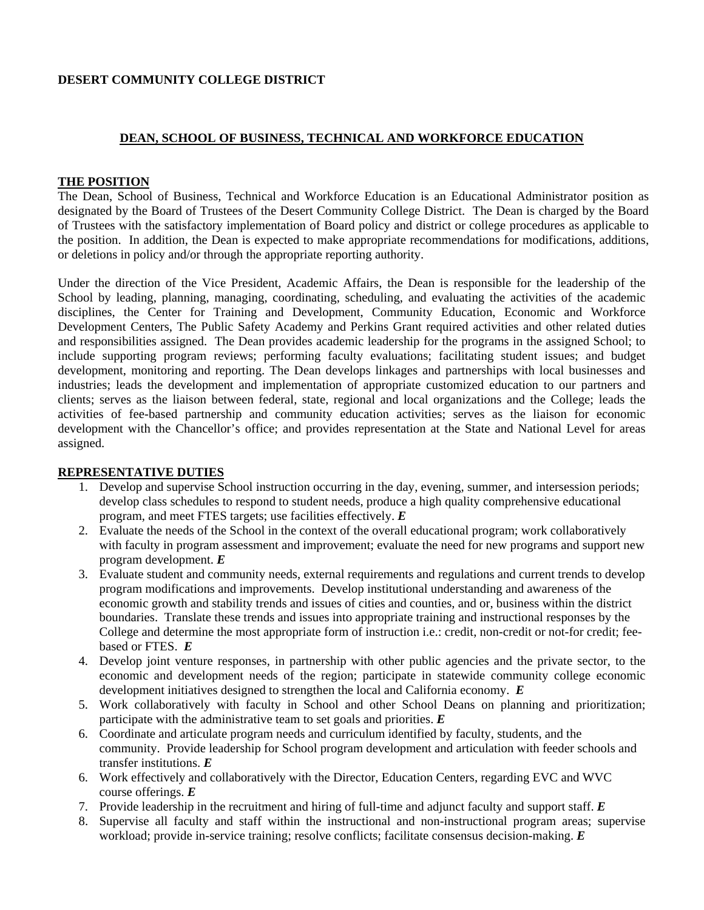### **DESERT COMMUNITY COLLEGE DISTRICT**

### **DEAN, SCHOOL OF BUSINESS, TECHNICAL AND WORKFORCE EDUCATION**

#### **THE POSITION**

The Dean, School of Business, Technical and Workforce Education is an Educational Administrator position as designated by the Board of Trustees of the Desert Community College District. The Dean is charged by the Board of Trustees with the satisfactory implementation of Board policy and district or college procedures as applicable to the position. In addition, the Dean is expected to make appropriate recommendations for modifications, additions, or deletions in policy and/or through the appropriate reporting authority.

Under the direction of the Vice President, Academic Affairs, the Dean is responsible for the leadership of the School by leading, planning, managing, coordinating, scheduling, and evaluating the activities of the academic disciplines, the Center for Training and Development, Community Education, Economic and Workforce Development Centers, The Public Safety Academy and Perkins Grant required activities and other related duties and responsibilities assigned. The Dean provides academic leadership for the programs in the assigned School; to include supporting program reviews; performing faculty evaluations; facilitating student issues; and budget development, monitoring and reporting. The Dean develops linkages and partnerships with local businesses and industries; leads the development and implementation of appropriate customized education to our partners and clients; serves as the liaison between federal, state, regional and local organizations and the College; leads the activities of fee-based partnership and community education activities; serves as the liaison for economic development with the Chancellor's office; and provides representation at the State and National Level for areas assigned.

### **REPRESENTATIVE DUTIES**

- 1. Develop and supervise School instruction occurring in the day, evening, summer, and intersession periods; develop class schedules to respond to student needs, produce a high quality comprehensive educational program, and meet FTES targets; use facilities effectively. *E*
- 2. Evaluate the needs of the School in the context of the overall educational program; work collaboratively with faculty in program assessment and improvement; evaluate the need for new programs and support new program development. *E*
- 3. Evaluate student and community needs, external requirements and regulations and current trends to develop program modifications and improvements. Develop institutional understanding and awareness of the economic growth and stability trends and issues of cities and counties, and or, business within the district boundaries. Translate these trends and issues into appropriate training and instructional responses by the College and determine the most appropriate form of instruction i.e.: credit, non-credit or not-for credit; feebased or FTES. *E*
- 4. Develop joint venture responses, in partnership with other public agencies and the private sector, to the economic and development needs of the region; participate in statewide community college economic development initiatives designed to strengthen the local and California economy. *E*
- 5. Work collaboratively with faculty in School and other School Deans on planning and prioritization; participate with the administrative team to set goals and priorities. *E*
- 6. Coordinate and articulate program needs and curriculum identified by faculty, students, and the community. Provide leadership for School program development and articulation with feeder schools and transfer institutions. *E*
- 6. Work effectively and collaboratively with the Director, Education Centers, regarding EVC and WVC course offerings. *E*
- 7. Provide leadership in the recruitment and hiring of full-time and adjunct faculty and support staff. *E*
- 8. Supervise all faculty and staff within the instructional and non-instructional program areas; supervise workload; provide in-service training; resolve conflicts; facilitate consensus decision-making. *E*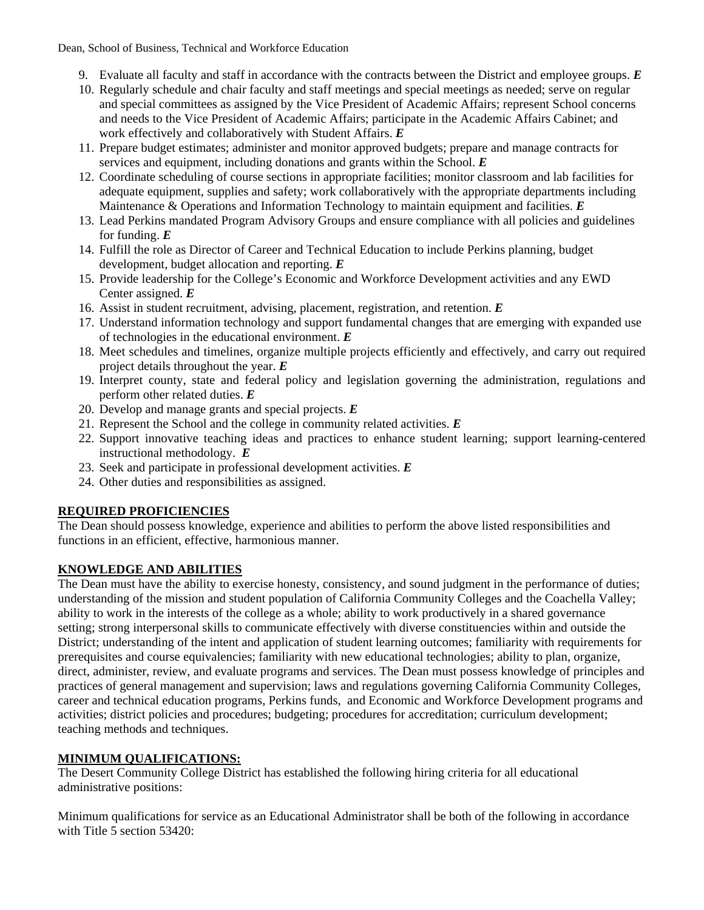Dean, School of Business, Technical and Workforce Education

- 9. Evaluate all faculty and staff in accordance with the contracts between the District and employee groups. *E*
- 10. Regularly schedule and chair faculty and staff meetings and special meetings as needed; serve on regular and special committees as assigned by the Vice President of Academic Affairs; represent School concerns and needs to the Vice President of Academic Affairs; participate in the Academic Affairs Cabinet; and work effectively and collaboratively with Student Affairs. *E*
- 11. Prepare budget estimates; administer and monitor approved budgets; prepare and manage contracts for services and equipment, including donations and grants within the School. *E*
- 12. Coordinate scheduling of course sections in appropriate facilities; monitor classroom and lab facilities for adequate equipment, supplies and safety; work collaboratively with the appropriate departments including Maintenance & Operations and Information Technology to maintain equipment and facilities. *E*
- 13. Lead Perkins mandated Program Advisory Groups and ensure compliance with all policies and guidelines for funding. *E*
- 14. Fulfill the role as Director of Career and Technical Education to include Perkins planning, budget development, budget allocation and reporting. *E*
- 15. Provide leadership for the College's Economic and Workforce Development activities and any EWD Center assigned. *E*
- 16. Assist in student recruitment, advising, placement, registration, and retention. *E*
- 17. Understand information technology and support fundamental changes that are emerging with expanded use of technologies in the educational environment. *E*
- 18. Meet schedules and timelines, organize multiple projects efficiently and effectively, and carry out required project details throughout the year. *E*
- 19. Interpret county, state and federal policy and legislation governing the administration, regulations and perform other related duties. *E*
- 20. Develop and manage grants and special projects. *E*
- 21. Represent the School and the college in community related activities. *E*
- 22. Support innovative teaching ideas and practices to enhance student learning; support learning-centered instructional methodology. *E*
- 23. Seek and participate in professional development activities. *E*
- 24. Other duties and responsibilities as assigned.

# **REQUIRED PROFICIENCIES**

The Dean should possess knowledge, experience and abilities to perform the above listed responsibilities and functions in an efficient, effective, harmonious manner.

# **KNOWLEDGE AND ABILITIES**

The Dean must have the ability to exercise honesty, consistency, and sound judgment in the performance of duties; understanding of the mission and student population of California Community Colleges and the Coachella Valley; ability to work in the interests of the college as a whole; ability to work productively in a shared governance setting; strong interpersonal skills to communicate effectively with diverse constituencies within and outside the District; understanding of the intent and application of student learning outcomes; familiarity with requirements for prerequisites and course equivalencies; familiarity with new educational technologies; ability to plan, organize, direct, administer, review, and evaluate programs and services. The Dean must possess knowledge of principles and practices of general management and supervision; laws and regulations governing California Community Colleges, career and technical education programs, Perkins funds, and Economic and Workforce Development programs and activities; district policies and procedures; budgeting; procedures for accreditation; curriculum development; teaching methods and techniques.

### **MINIMUM QUALIFICATIONS:**

The Desert Community College District has established the following hiring criteria for all educational administrative positions:

Minimum qualifications for service as an Educational Administrator shall be both of the following in accordance with Title  $\overline{5}$  section 53420: